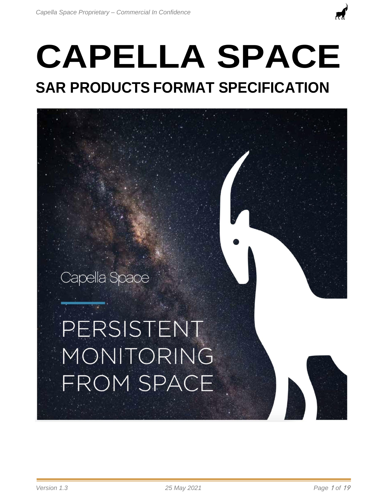# **CAPELLA SPACE SAR PRODUCTS FORMAT SPECIFICATION**

# Capella Space

# PERSISTENT MONITORING **FROM SPACE**

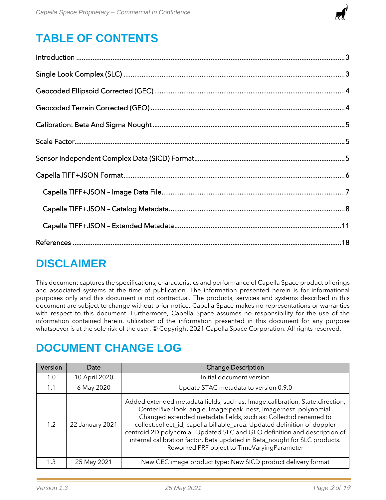

# **TABLE OF CONTENTS**

| $\label{eq:1} \mbox{Introduction} \,\, \ldots \,\, \ldots \,\, \ldots \,\, \ldots \,\, \ldots \,\, \ldots \,\, \ldots \,\, \ldots \,\, \ldots \,\, \ldots \,\, \ldots \,\, \ldots \,\, \ldots \,\, \ldots \,\, \ldots \,\, \ldots \,\, \ldots \,\, \ldots \,\, \ldots \,\, \ldots \,\, \ldots \,\, \ldots \,\, \ldots \,\, \ldots \,\, \ldots \,\, \ldots \,\, \ldots \,\, \ldots \,\, \ldots \,\, \ldots \,\, \ldots \,\, \ldots \,\, \ldots \,\, \ldots \,\,$ |  |
|-----------------------------------------------------------------------------------------------------------------------------------------------------------------------------------------------------------------------------------------------------------------------------------------------------------------------------------------------------------------------------------------------------------------------------------------------------------------|--|
|                                                                                                                                                                                                                                                                                                                                                                                                                                                                 |  |
|                                                                                                                                                                                                                                                                                                                                                                                                                                                                 |  |
|                                                                                                                                                                                                                                                                                                                                                                                                                                                                 |  |
|                                                                                                                                                                                                                                                                                                                                                                                                                                                                 |  |
|                                                                                                                                                                                                                                                                                                                                                                                                                                                                 |  |
|                                                                                                                                                                                                                                                                                                                                                                                                                                                                 |  |
|                                                                                                                                                                                                                                                                                                                                                                                                                                                                 |  |
|                                                                                                                                                                                                                                                                                                                                                                                                                                                                 |  |
|                                                                                                                                                                                                                                                                                                                                                                                                                                                                 |  |
|                                                                                                                                                                                                                                                                                                                                                                                                                                                                 |  |
|                                                                                                                                                                                                                                                                                                                                                                                                                                                                 |  |

## **DISCLAIMER**

This document captures the specifications, characteristics and performance of Capella Space product offerings and associated systems at the time of publication. The information presented herein is for informational purposes only and this document is not contractual. The products, services and systems described in this document are subject to change without prior notice. Capella Space makes no representations or warranties with respect to this document. Furthermore, Capella Space assumes no responsibility for the use of the information contained herein, utilization of the information presented in this document for any purpose whatsoever is at the sole risk of the user. © Copyright 2021 Capella Space Corporation. All rights reserved.

## **DOCUMENT CHANGE LOG**

| Version | Date            | <b>Change Description</b>                                                                                                                                                                                                                                                                                                                                                                                                                                                                                 |
|---------|-----------------|-----------------------------------------------------------------------------------------------------------------------------------------------------------------------------------------------------------------------------------------------------------------------------------------------------------------------------------------------------------------------------------------------------------------------------------------------------------------------------------------------------------|
| 1.0     | 10 April 2020   | Initial document version                                                                                                                                                                                                                                                                                                                                                                                                                                                                                  |
| 1.1     | 6 May 2020      | Update STAC metadata to version 0.9.0                                                                                                                                                                                                                                                                                                                                                                                                                                                                     |
| 1.2     | 22 January 2021 | Added extended metadata fields, such as: Image:calibration, State:direction,<br>CenterPixel:look_angle, Image:peak_nesz, Image:nesz_polynomial.<br>Changed extended metadata fields, such as: Collect:id renamed to<br>collect:collect_id, capella:billable_area. Updated definition of doppler<br>centroid 2D polynomial. Updated SLC and GEO definition and description of<br>internal calibration factor. Beta updated in Beta_nought for SLC products.<br>Reworked PRF object to TimeVaryingParameter |
| 1.3     | 25 May 2021     | New GEC image product type; New SICD product delivery format                                                                                                                                                                                                                                                                                                                                                                                                                                              |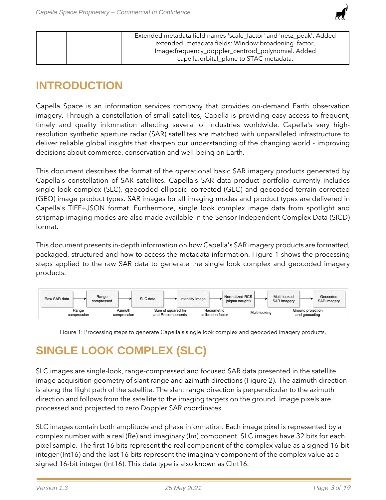

| Extended metadata field names 'scale_factor' and 'nesz_peak'. Added<br>extended_metadata fields: Window:broadening_factor, |
|----------------------------------------------------------------------------------------------------------------------------|
| Image: frequency_doppler_centroid_polynomial. Added<br>capella: orbital_plane to STAC metadata.                            |

## <span id="page-2-0"></span>**INTRODUCTION**

Capella Space is an information services company that provides on-demand Earth observation imagery. Through a constellation of small satellites, Capella is providing easy access to frequent, timely and quality information affecting several of industries worldwide. Capella's very highresolution synthetic aperture radar (SAR) satellites are matched with unparalleled infrastructure to deliver reliable global insights that sharpen our understanding of the changing world - improving decisions about commerce, conservation and well-being on Earth.

This document describes the format of the operational basic SAR imagery products generated by Capella's constellation of SAR satellites. Capella's SAR data product portfolio currently includes single look complex (SLC), geocoded ellipsoid corrected (GEC) and geocoded terrain corrected (GEO) image product types. SAR images for all imaging modes and product types are delivered in Capella's TIFF+JSON format. Furthermore, single look complex image data from spotlight and stripmap imaging modes are also made available in the Sensor Independent Complex Data (SICD) format.

This document presents in-depth information on how Capella's SAR imagery products are formatted, packaged, structured and how to access the metadata information. Figure 1 shows the processing steps applied to the raw SAR data to generate the single look complex and geocoded imagery products.



Figure 1: Processing steps to generate Capella's single look complex and geocoded imagery products.

# <span id="page-2-1"></span>**SINGLE LOOK COMPLEX (SLC)**

SLC images are single-look, range-compressed and focused SAR data presented in the satellite image acquisition geometry of slant range and azimuth directions (Figure 2). The azimuth direction is along the flight path of the satellite. The slant range direction is perpendicular to the azimuth direction and follows from the satellite to the imaging targets on the ground. Image pixels are processed and projected to zero Doppler SAR coordinates.

SLC images contain both amplitude and phase information. Each image pixel is represented by a complex number with a real (Re) and imaginary (Im) component. SLC images have 32 bits for each pixel sample. The first 16 bits represent the real component of the complex value as a signed 16-bit integer (Int16) and the last 16 bits represent the imaginary component of the complex value as a signed 16-bit integer (Int16). This data type is also known as CInt16.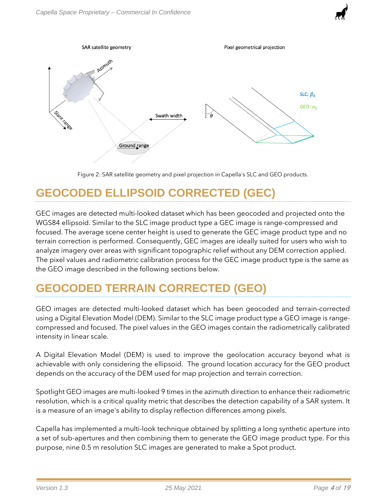

Figure 2: SAR satellite geometry and pixel projection in Capella's SLC and GEO products.

# <span id="page-3-2"></span><span id="page-3-0"></span>**GEOCODED ELLIPSOID CORRECTED (GEC)**

GEC images are detected multi-looked dataset which has been geocoded and projected onto the WGS84 ellipsoid. Similar to the SLC image product type a GEC image is range-compressed and focused. The average scene center height is used to generate the GEC image product type and no terrain correction is performed. Consequently, GEC images are ideally suited for users who wish to analyze imagery over areas with significant topographic relief without any DEM correction applied. The pixel values and radiometric calibration process for the GEC image product type is the same as the GEO image described in the following sections below.

## <span id="page-3-1"></span>**GEOCODED TERRAIN CORRECTED (GEO)**

GEO images are detected multi-looked dataset which has been geocoded and terrain-corrected using a Digital Elevation Model (DEM). Similar to the SLC image product type a GEO image is rangecompressed and focused. The pixel values in the GEO images contain the radiometrically calibrated intensity in linear scale.

A Digital Elevation Model (DEM) is used to improve the geolocation accuracy beyond what is achievable with only considering the ellipsoid. The ground location accuracy for the GEO product depends on the accuracy of the DEM used for map projection and terrain correction.

Spotlight GEO images are multi-looked 9 times in the azimuth direction to enhance their radiometric resolution, which is a critical quality metric that describes the detection capability of a SAR system. It is a measure of an image's ability to display reflection differences among pixels.

Capella has implemented a multi-look technique obtained by splitting a long synthetic aperture into a set of sub-apertures and then combining them to generate the GEO image product type. For this purpose, nine 0.5 m resolution SLC images are generated to make a Spot product.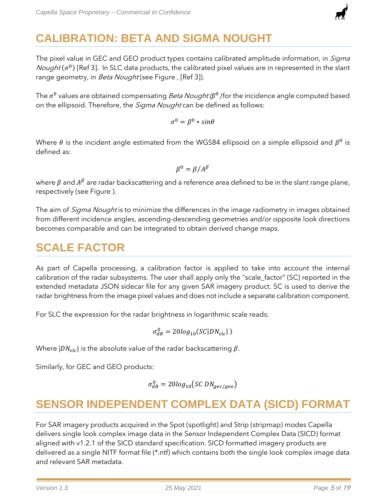

# <span id="page-4-0"></span>**CALIBRATION: BETA AND SIGMA NOUGHT**

The pixel value in GEC and GEO product types contains calibrated amplitude information, in *Sigma* Nought  $(\sigma^0)$  [Ref 3]. In SLC data products, the calibrated pixel values are in represented in the slant range geometry, in *Beta Nought* (see Figure, [Ref 3]).

The  $\sigma^0$  values are obtained compensating *Beta Nought (* $\beta^0$ *)* for the incidence angle computed based on the ellipsoid. Therefore, the *Sigma Nought* can be defined as follows:

 $\sigma^0 = \beta^0 * sin\theta$ 

Where  $\theta$  is the incident angle estimated from the WGS84 ellipsoid on a simple ellipsoid and  $\beta^0$  is defined as:

$$
\beta^0 = \beta / A^{\beta}
$$

where  $\beta$  and  $A^\beta$  are radar backscattering and a reference area defined to be in the slant range plane, respectively (see [Figure \)](#page-3-2).

The aim of *Sigma Nought* is to minimize the differences in the image radiometry in images obtained from different incidence angles, ascending-descending geometries and/or opposite look directions becomes comparable and can be integrated to obtain derived change maps.

## <span id="page-4-1"></span>**SCALE FACTOR**

As part of Capella processing, a calibration factor is applied to take into account the internal calibration of the radar subsystems. The user shall apply only the "scale\_factor" (SC) reported in the extended metadata JSON sidecar file for any given SAR imagery product. SC is used to derive the radar brightness from the image pixel values and does not include a separate calibration component.

For SLC the expression for the radar brightness in logarithmic scale reads:

$$
\sigma_{dB}^0 = 20log_{10}(SC|DN_{slc}|)
$$

Where  $|DN_{slc}|$  is the absolute value of the radar backscattering  $\beta$ .

Similarly, for GEC and GEO products:

$$
\sigma_{dB}^0 = 20log_{10}(SC\,DN_{gec/geo})
$$

## <span id="page-4-2"></span>**SENSOR INDEPENDENT COMPLEX DATA (SICD) FORMAT**

For SAR imagery products acquired in the Spot (spotlight) and Strip (stripmap) modes Capella delivers single look complex image data in the Sensor Independent Complex Data (SICD) format aligned with v1.2.1 of the SICD standard specification. SICD formatted imagery products are delivered as a single NITF format file (\*.ntf) which contains both the single look complex image data and relevant SAR metadata.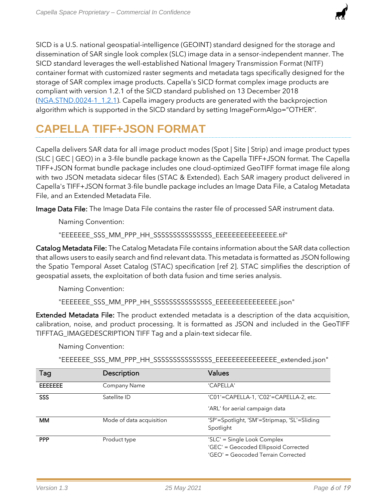

## <span id="page-5-0"></span>**CAPELLA TIFF+JSON FORMAT**

Capella delivers SAR data for all image product modes (Spot | Site | Strip) and image product types (SLC | GEC | GEO) in a 3-file bundle package known as the Capella TIFF+JSON format. The Capella TIFF+JSON format bundle package includes one cloud-optimized GeoTIFF format image file along with two JSON metadata sidecar files (STAC & Extended). Each SAR imagery product delivered in Capella's TIFF+JSON format 3-file bundle package includes an Image Data File, a Catalog Metadata File, and an Extended Metadata File.

Image Data File: The Image Data File contains the raster file of processed SAR instrument data.

Naming Convention:

"EEEEEEE\_SSS\_MM\_PPP\_HH\_SSSSSSSSSSSSSSS\_EEEEEEEEEEEEEEE.tif"

Catalog Metadata File: The Catalog Metadata File contains information about the SAR data collection that allows users to easily search and find relevant data. This metadata is formatted as JSON following the Spatio Temporal Asset Catalog (STAC) specification [ref 2]. STAC simplifies the description of geospatial assets, the exploitation of both data fusion and time series analysis.

Naming Convention:

"EEEEEEE\_SSS\_MM\_PPP\_HH\_SSSSSSSSSSSSSSS\_EEEEEEEEEEEEEEE.json"

Extended Metadata File: The product extended metadata is a description of the data acquisition, calibration, noise, and product processing. It is formatted as JSON and included in the GeoTIFF TIFFTAG\_IMAGEDESCRIPTION TIFF Tag and a plain-text sidecar file.

Naming Convention:

"EEEEEEE\_SSS\_MM\_PPP\_HH\_SSSSSSSSSSSSSSS\_EEEEEEEEEEEEEEE\_extended.json"

| Tag            | Description              | Values                                                                                                    |
|----------------|--------------------------|-----------------------------------------------------------------------------------------------------------|
| <b>EEEEEEE</b> | Company Name             | 'CAPELLA'                                                                                                 |
| SSS            | Satellite ID             | 'C01'=CAPELLA-1, 'C02'=CAPELLA-2, etc.                                                                    |
|                |                          | 'ARL' for aerial campaign data                                                                            |
| <b>MM</b>      | Mode of data acquisition | 'SP'=Spotlight, 'SM'=Stripmap, 'SL'=Sliding<br>Spotlight                                                  |
| <b>PPP</b>     | Product type             | 'SLC' = Single Look Complex<br>'GEC' = Geocoded Ellipsoid Corrected<br>'GEO' = Geocoded Terrain Corrected |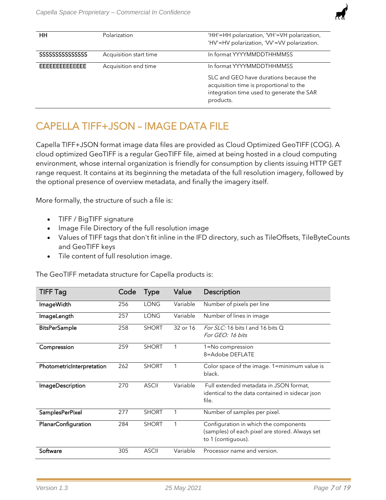

| HH                                  | Polarization           | 'HH'=HH polarization, 'VH'=VH polarization,<br>'HV'=HV polarization, 'VV'=VV polarization.                                                  |
|-------------------------------------|------------------------|---------------------------------------------------------------------------------------------------------------------------------------------|
| <b>SSSSSSSSSSSSSSSSSSSSSSSSSSSS</b> | Acquisition start time | In format YYYYMMDDTHHMMSS                                                                                                                   |
| FFFFFFFFFFFFFF                      | Acquisition end time   | In format YYYYMMDDTHHMMSS                                                                                                                   |
|                                     |                        | SLC and GEO have durations because the<br>acquisition time is proportional to the<br>integration time used to generate the SAR<br>products. |

## <span id="page-6-0"></span>CAPELLA TIFF+JSON – IMAGE DATA FILE

Capella TIFF+JSON format image data files are provided as Cloud Optimized GeoTIFF (COG). A cloud optimized GeoTIFF is a regular GeoTIFF file, aimed at being hosted in a cloud computing environment, whose internal organization is friendly for consumption by clients issuing HTTP GET range request. It contains at its beginning the metadata of the full resolution imagery, followed by the optional presence of overview metadata, and finally the imagery itself.

More formally, the structure of such a file is:

- TIFF / BigTIFF signature
- Image File Directory of the full resolution image
- Values of TIFF tags that don't fit inline in the IFD directory, such as TileOffsets, TileByteCounts and GeoTIFF keys
- Tile content of full resolution image.

The GeoTIFF metadata structure for Capella products is:

| <b>TIFF Tag</b>           | Code | <b>Type</b>  | Value    | Description                                                                                                   |
|---------------------------|------|--------------|----------|---------------------------------------------------------------------------------------------------------------|
| <b>ImageWidth</b>         | 256  | <b>LONG</b>  | Variable | Number of pixels per line                                                                                     |
| ImageLength               | 257  | <b>LONG</b>  | Variable | Number of lines in image                                                                                      |
| <b>BitsPerSample</b>      | 258  | <b>SHORT</b> | 32 or 16 | For SLC: 16 bits I and 16 bits Q<br>For GEO: 16 bits                                                          |
| Compression               | 259  | <b>SHORT</b> | 1        | 1=No compression<br>8=Adobe DEFLATE                                                                           |
| PhotometricInterpretation | 262  | <b>SHORT</b> | 1        | Color space of the image. 1=minimum value is<br>black.                                                        |
| <b>ImageDescription</b>   | 270  | <b>ASCII</b> | Variable | Full extended metadata in JSON format,<br>identical to the data contained in sidecar json<br>file.            |
| SamplesPerPixel           | 277  | <b>SHORT</b> | 1        | Number of samples per pixel.                                                                                  |
| PlanarConfiguration       | 284  | <b>SHORT</b> | 1        | Configuration in which the components<br>(samples) of each pixel are stored. Always set<br>to 1 (contiguous). |
| Software                  | 305  | <b>ASCII</b> | Variable | Processor name and version.                                                                                   |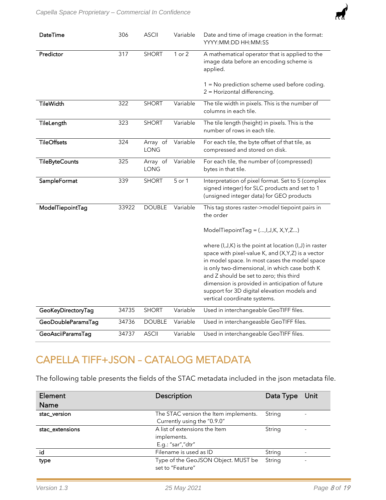

| DateTime              | 306   | <b>ASCII</b>     | Variable   | Date and time of image creation in the format:<br>YYYY:MM:DD HH:MM:SS                                                                                                                                                                                                                                                                                                                           |
|-----------------------|-------|------------------|------------|-------------------------------------------------------------------------------------------------------------------------------------------------------------------------------------------------------------------------------------------------------------------------------------------------------------------------------------------------------------------------------------------------|
| Predictor             | 317   | <b>SHORT</b>     | $1$ or $2$ | A mathematical operator that is applied to the<br>image data before an encoding scheme is<br>applied.<br>1 = No prediction scheme used before coding.<br>2 = Horizontal differencing.                                                                                                                                                                                                           |
| <b>TileWidth</b>      | 322   | <b>SHORT</b>     | Variable   | The tile width in pixels. This is the number of<br>columns in each tile.                                                                                                                                                                                                                                                                                                                        |
| TileLength            | 323   | <b>SHORT</b>     | Variable   | The tile length (height) in pixels. This is the<br>number of rows in each tile.                                                                                                                                                                                                                                                                                                                 |
| <b>TileOffsets</b>    | 324   | Array of<br>LONG | Variable   | For each tile, the byte offset of that tile, as<br>compressed and stored on disk.                                                                                                                                                                                                                                                                                                               |
| <b>TileByteCounts</b> | 325   | Array of<br>LONG | Variable   | For each tile, the number of (compressed)<br>bytes in that tile.                                                                                                                                                                                                                                                                                                                                |
| SampleFormat          | 339   | <b>SHORT</b>     | 5 or 1     | Interpretation of pixel format. Set to 5 (complex<br>signed integer) for SLC products and set to 1<br>(unsigned integer data) for GEO products                                                                                                                                                                                                                                                  |
| ModelTiepointTag      | 33922 | <b>DOUBLE</b>    | Variable   | This tag stores raster->model tiepoint pairs in<br>the order                                                                                                                                                                                                                                                                                                                                    |
|                       |       |                  |            | ModelTiepointTag = (, I, J, K, X, Y, Z)                                                                                                                                                                                                                                                                                                                                                         |
|                       |       |                  |            | where (I, J, K) is the point at location (I, J) in raster<br>space with pixel-value K, and (X, Y, Z) is a vector<br>in model space. In most cases the model space<br>is only two-dimensional, in which case both K<br>and Z should be set to zero; this third<br>dimension is provided in anticipation of future<br>support for 3D digital elevation models and<br>vertical coordinate systems. |
| GeoKeyDirectoryTag    | 34735 | <b>SHORT</b>     | Variable   | Used in interchangeable GeoTIFF files.                                                                                                                                                                                                                                                                                                                                                          |
| GeoDoubleParamsTag    | 34736 | <b>DOUBLE</b>    | Variable   | Used in interchangeasble GeoTIFF files.                                                                                                                                                                                                                                                                                                                                                         |
| GeoAsciiParamsTag     | 34737 | <b>ASCII</b>     | Variable   | Used in interchangeable GeoTIFF files.                                                                                                                                                                                                                                                                                                                                                          |

## <span id="page-7-0"></span>CAPELLA TIFF+JSON – CATALOG METADATA

The following table presents the fields of the STAC metadata included in the json metadata file.

| Element         | Description                                             | Data Type Unit |  |
|-----------------|---------------------------------------------------------|----------------|--|
| <b>Name</b>     |                                                         |                |  |
| stac_version    | The STAC version the Item implements.                   | String         |  |
|                 | Currently using the "0.9.0"                             |                |  |
| stac_extensions | A list of extensions the Item<br>String                 |                |  |
|                 | implements.                                             |                |  |
|                 | E.g.: "sar","dtr"                                       |                |  |
| id              | Filename is used as ID                                  | String         |  |
| type            | Type of the GeoJSON Object. MUST be<br>set to "Feature" | String         |  |
|                 |                                                         |                |  |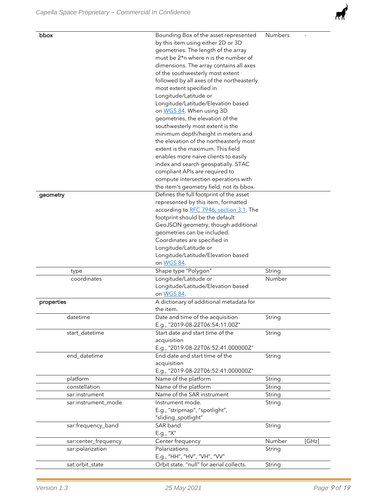| bbox                 | Bounding Box of the asset represented                                            | Numbers |       |  |  |
|----------------------|----------------------------------------------------------------------------------|---------|-------|--|--|
|                      | by this item using either 2D or 3D                                               |         |       |  |  |
|                      | geometries. The length of the array                                              |         |       |  |  |
|                      | must be 2*n where n is the number of                                             |         |       |  |  |
|                      | dimensions. The array contains all axes                                          |         |       |  |  |
|                      | of the southwesterly most extent                                                 |         |       |  |  |
|                      | followed by all axes of the northeasterly                                        |         |       |  |  |
|                      | most extent specified in                                                         |         |       |  |  |
|                      | Longitude/Latitude or                                                            |         |       |  |  |
|                      | Longitude/Latitude/Elevation based                                               |         |       |  |  |
|                      | on WGS 84. When using 3D                                                         |         |       |  |  |
|                      | geometries, the elevation of the                                                 |         |       |  |  |
|                      | southwesterly most extent is the                                                 |         |       |  |  |
|                      | minimum depth/height in meters and                                               |         |       |  |  |
|                      | the elevation of the northeasterly most<br>extent is the maximum. This field     |         |       |  |  |
|                      |                                                                                  |         |       |  |  |
|                      | enables more naive clients to easily                                             |         |       |  |  |
|                      | index and search geospatially. STAC                                              |         |       |  |  |
|                      | compliant APIs are required to                                                   |         |       |  |  |
|                      | compute intersection operations with<br>the item's geometry field, not its bbox. |         |       |  |  |
| geometry             | Defines the full footprint of the asset                                          |         |       |  |  |
|                      | represented by this item, formatted                                              |         |       |  |  |
|                      | according to RFC 7946, section 3.1. The                                          |         |       |  |  |
|                      | footprint should be the default                                                  |         |       |  |  |
|                      | GeoJSON geometry, though additional                                              |         |       |  |  |
|                      | geometries can be included.                                                      |         |       |  |  |
|                      | Coordinates are specified in                                                     |         |       |  |  |
|                      | Longitude/Latitude or                                                            |         |       |  |  |
|                      | Longitude/Latitude/Elevation based                                               |         |       |  |  |
|                      | on WGS 84.                                                                       |         |       |  |  |
| type                 | Shape type "Polygon"                                                             | String  |       |  |  |
| coordinates          | Longitude/Latitude or                                                            | Number  |       |  |  |
|                      | Longitude/Latitude/Elevation based                                               |         |       |  |  |
|                      | on WGS 84.                                                                       |         |       |  |  |
| properties           | A dictionary of additional metadata for                                          |         |       |  |  |
|                      | the item.                                                                        |         |       |  |  |
| datetime             | Date and time of the acquisition                                                 | String  |       |  |  |
|                      | E.g., "2019-08-22T06:54:11.00Z"                                                  |         |       |  |  |
| start_datetime       | Start date and start time of the                                                 | String  |       |  |  |
|                      | acquisition                                                                      |         |       |  |  |
|                      | E.g., "2019-08-22T06:52:41.000000Z"                                              |         |       |  |  |
| end_datetime         | End date and start time of the                                                   | String  |       |  |  |
|                      | acquisition                                                                      |         |       |  |  |
|                      | E.g., "2019-08-22T06:52:41.000000Z"                                              |         |       |  |  |
| platform             | Name of the platform                                                             | String  |       |  |  |
| constellation        | Name of the platform<br>Name of the SAR instrument                               | String  |       |  |  |
| sar:instrument       |                                                                                  | String  |       |  |  |
| sar:instrument_mode  | Instrument mode.                                                                 | String  |       |  |  |
|                      | E.g., "stripmap", "spotlight",                                                   |         |       |  |  |
|                      | "sliding_spotlight"                                                              |         |       |  |  |
| sar:frequency_band   | SAR band.<br>E.g., "X"                                                           | String  |       |  |  |
| sar:center_frequency | Center frequency                                                                 | Number  | [GHz] |  |  |
| sar:polarization     | Polarizations.                                                                   | String  |       |  |  |
|                      | E.g., "HH", "HV", "VH", "VV"                                                     |         |       |  |  |
| sat:orbit_state      | Orbit state. "null" for aerial collects.                                         | String  |       |  |  |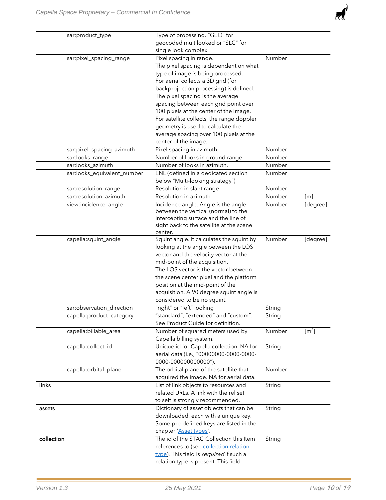

| sar:product_type            | Type of processing. "GEO" for             |        |                             |
|-----------------------------|-------------------------------------------|--------|-----------------------------|
|                             | geocoded multilooked or "SLC" for         |        |                             |
|                             | single look complex.                      |        |                             |
| sar:pixel_spacing_range     | Pixel spacing in range.                   | Number |                             |
|                             | The pixel spacing is dependent on what    |        |                             |
|                             | type of image is being processed.         |        |                             |
|                             | For aerial collects a 3D grid (for        |        |                             |
|                             | backprojection processing) is defined.    |        |                             |
|                             | The pixel spacing is the average          |        |                             |
|                             | spacing between each grid point over      |        |                             |
|                             | 100 pixels at the center of the image.    |        |                             |
|                             | For satellite collects, the range doppler |        |                             |
|                             | geometry is used to calculate the         |        |                             |
|                             | average spacing over 100 pixels at the    |        |                             |
|                             | center of the image.                      |        |                             |
| sar:pixel_spacing_azimuth   | Pixel spacing in azimuth.                 | Number |                             |
| sar:looks_range             | Number of looks in ground range.          | Number |                             |
| sar:looks_azimuth           | Number of looks in azimuth.               | Number |                             |
| sar:looks_equivalent_number | ENL (defined in a dedicated section       | Number |                             |
|                             | below "Multi-looking strategy")           |        |                             |
| sar:resolution_range        | Resolution in slant range                 | Number |                             |
| sar:resolution_azimuth      | Resolution in azimuth                     | Number | $\lceil m \rceil$           |
| view:incidence_angle        | Incidence angle. Angle is the angle       | Number | [degree]                    |
|                             | between the vertical (normal) to the      |        |                             |
|                             | intercepting surface and the line of      |        |                             |
|                             | sight back to the satellite at the scene  |        |                             |
|                             | center.                                   |        |                             |
| capella:squint_angle        | Squint angle. It calculates the squint by | Number | [degree]                    |
|                             | looking at the angle between the LOS      |        |                             |
|                             | vector and the velocity vector at the     |        |                             |
|                             | mid-point of the acquisition.             |        |                             |
|                             | The LOS vector is the vector between      |        |                             |
|                             | the scene center pixel and the platform   |        |                             |
|                             | position at the mid-point of the          |        |                             |
|                             | acquisition. A 90 degree squint angle is  |        |                             |
|                             | considered to be no squint.               |        |                             |
| sar:observation_direction   | "right" or "left" looking                 | String |                             |
| capella:product_category    | "standard", "extended" and "custom".      | String |                             |
|                             | See Product Guide for definition.         |        |                             |
| capella:billable_area       | Number of squared meters used by          | Number | $\left[\mathrm{m}^2\right]$ |
|                             | Capella billing system.                   |        |                             |
| capella:collect_id          | Unique id for Capella collection. NA for  | String |                             |
|                             | aerial data (i.e., "00000000-0000-0000-   |        |                             |
|                             | 0000-000000000000").                      |        |                             |
| capella:orbital_plane       | The orbital plane of the satellite that   | Number |                             |
|                             | acquired the image. NA for aerial data.   |        |                             |
| links                       | List of link objects to resources and     | String |                             |
|                             | related URLs. A link with the rel set     |        |                             |
|                             | to self is strongly recommended.          |        |                             |
| assets                      | Dictionary of asset objects that can be   | String |                             |
|                             | downloaded, each with a unique key.       |        |                             |
|                             | Some pre-defined keys are listed in the   |        |                             |
|                             | chapter 'Asset types'.                    |        |                             |
| collection                  | The id of the STAC Collection this Item   | String |                             |
|                             | references to (see collection relation    |        |                             |
|                             | type). This field is required if such a   |        |                             |
|                             | relation type is present. This field      |        |                             |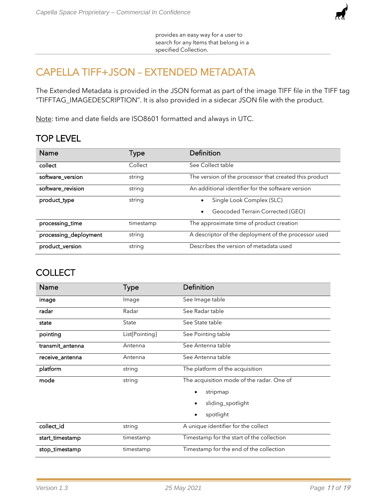

provides an easy way for a user to search for any Items that belong in a specified Collection.

## <span id="page-10-0"></span>CAPELLA TIFF+JSON – EXTENDED METADATA

The Extended Metadata is provided in the JSON format as part of the image TIFF file in the TIFF tag "TIFFTAG\_IMAGEDESCRIPTION". It is also provided in a sidecar JSON file with the product.

Note: time and date fields are ISO8601 formatted and always in UTC.

### TOP LEVEL

| <b>Name</b>           | Type      | Definition                                             |
|-----------------------|-----------|--------------------------------------------------------|
| collect               | Collect   | See Collect table                                      |
| software_version      | string    | The version of the processor that created this product |
| software_revision     | string    | An additional identifier for the software version      |
| product_type          | string    | Single Look Complex (SLC)                              |
|                       |           | Geocoded Terrain Corrected (GEO)<br>$\bullet$          |
| processing_time       | timestamp | The approximate time of product creation               |
| processing_deployment | string    | A descriptor of the deployment of the processor used   |
| product_version       | string    | Describes the version of metadata used                 |

#### **COLLECT**

| <b>Name</b>      | <b>Type</b>    | Definition                                |
|------------------|----------------|-------------------------------------------|
| image            | Image          | See Image table                           |
| radar            | Radar          | See Radar table                           |
| state            | State          | See State table                           |
| pointing         | List[Pointing] | See Pointing table                        |
| transmit_antenna | Antenna        | See Antenna table                         |
| receive_antenna  | Antenna        | See Antenna table                         |
| platform         | string         | The platform of the acquisition           |
| mode             | string         | The acquisition mode of the radar. One of |
|                  |                | stripmap<br>٠                             |
|                  |                | sliding_spotlight                         |
|                  |                | spotlight<br>٠                            |
| collect_id       | string         | A unique identifier for the collect       |
| start_timestamp  | timestamp      | Timestamp for the start of the collection |
| stop_timestamp   | timestamp      | Timestamp for the end of the collection   |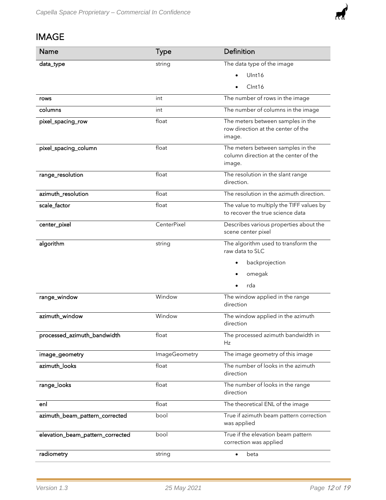

## IMAGE

| Name                             | <b>Type</b>          | Definition                                                                           |
|----------------------------------|----------------------|--------------------------------------------------------------------------------------|
| data_type                        | string               | The data type of the image                                                           |
|                                  |                      | Ulnt16                                                                               |
|                                  |                      | Clnt16                                                                               |
| rows                             | int                  | The number of rows in the image                                                      |
| columns                          | int                  | The number of columns in the image                                                   |
| pixel_spacing_row                | float                | The meters between samples in the<br>row direction at the center of the<br>image.    |
| pixel_spacing_column             | float                | The meters between samples in the<br>column direction at the center of the<br>image. |
| range_resolution                 | float                | The resolution in the slant range<br>direction.                                      |
| azimuth_resolution               | float                | The resolution in the azimuth direction.                                             |
| scale_factor                     | float                | The value to multiply the TIFF values by<br>to recover the true science data         |
| center_pixel                     | CenterPixel          | Describes various properties about the<br>scene center pixel                         |
| algorithm                        | string               | The algorithm used to transform the<br>raw data to SLC                               |
|                                  |                      | backprojection                                                                       |
|                                  |                      | omegak                                                                               |
|                                  |                      | rda                                                                                  |
| range_window                     | Window               | The window applied in the range<br>direction                                         |
| azimuth_window                   | Window               | The window applied in the azimuth<br>direction                                       |
| processed_azimuth_bandwidth      | float                | The processed azimuth bandwidth in<br>Hz                                             |
| image_geometry                   | <b>ImageGeometry</b> | The image geometry of this image                                                     |
| azimuth_looks                    | float                | The number of looks in the azimuth<br>direction                                      |
| range_looks                      | float                | The number of looks in the range<br>direction                                        |
| enl                              | float                | The theoretical ENL of the image                                                     |
| azimuth_beam_pattern_corrected   | bool                 | True if azimuth beam pattern correction<br>was applied                               |
| elevation_beam_pattern_corrected | bool                 | True if the elevation beam pattern<br>correction was applied                         |
| radiometry                       | string               | beta<br>$\bullet$                                                                    |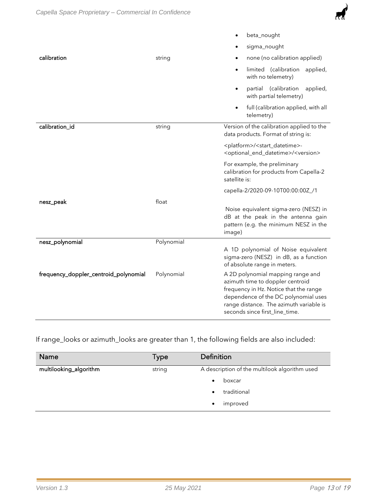

|                                       |            | beta_nought<br>$\bullet$                                                                                                                                                                                                             |
|---------------------------------------|------------|--------------------------------------------------------------------------------------------------------------------------------------------------------------------------------------------------------------------------------------|
|                                       |            | sigma_nought                                                                                                                                                                                                                         |
| calibration                           | string     | none (no calibration applied)                                                                                                                                                                                                        |
|                                       |            | limited (calibration<br>applied,<br>$\bullet$<br>with no telemetry)                                                                                                                                                                  |
|                                       |            | partial (calibration<br>applied,<br>$\bullet$<br>with partial telemetry)                                                                                                                                                             |
|                                       |            | full (calibration applied, with all<br>$\bullet$<br>telemetry)                                                                                                                                                                       |
| calibration_id                        | string     | Version of the calibration applied to the<br>data products. Format of string is:                                                                                                                                                     |
|                                       |            | <platform>/<start_datetime>-<br/><optional_end_datetime>/<version></version></optional_end_datetime></start_datetime></platform>                                                                                                     |
|                                       |            | For example, the preliminary<br>calibration for products from Capella-2<br>satellite is:                                                                                                                                             |
|                                       |            | capella-2/2020-09-10T00:00:00Z_/1                                                                                                                                                                                                    |
| nesz_peak                             | float      |                                                                                                                                                                                                                                      |
|                                       |            | Noise equivalent sigma-zero (NESZ) in<br>dB at the peak in the antenna gain<br>pattern (e.g. the minimum NESZ in the<br>image)                                                                                                       |
| nesz_polynomial                       | Polynomial |                                                                                                                                                                                                                                      |
|                                       |            | A 1D polynomial of Noise equivalent<br>sigma-zero (NESZ) in dB, as a function<br>of absolute range in meters.                                                                                                                        |
| frequency_doppler_centroid_polynomial | Polynomial | A 2D polynomial mapping range and<br>azimuth time to doppler centroid<br>frequency in Hz. Notice that the range<br>dependence of the DC polynomial uses<br>range distance. The azimuth variable is<br>seconds since first_line_time. |

If range\_looks or azimuth\_looks are greater than 1, the following fields are also included:

| <b>Name</b>            | Type   | Definition                                    |
|------------------------|--------|-----------------------------------------------|
| multilooking_algorithm | string | A description of the multilook algorithm used |
|                        |        | boxcar                                        |
|                        |        | traditional                                   |
|                        |        | improved<br>٠                                 |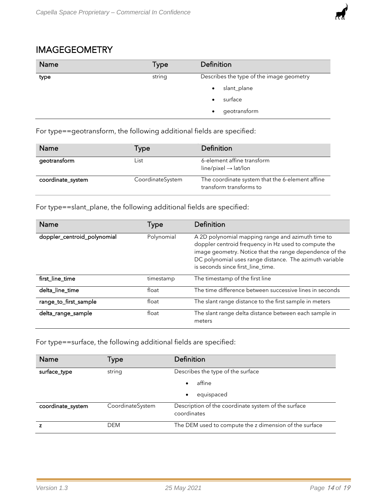

#### IMAGEGEOMETRY

| Name | Type   | Definition                               |
|------|--------|------------------------------------------|
| type | string | Describes the type of the image geometry |
|      |        | slant_plane<br>٠                         |
|      |        | surface                                  |
|      |        | geotransform                             |

For type==geotransform, the following additional fields are specified:

| <b>Name</b>       | Type             | Definition                                                                 |
|-------------------|------------------|----------------------------------------------------------------------------|
| geotransform      | List             | 6-element affine transform<br>$line/pixel \rightarrow lat/lon$             |
| coordinate_system | CoordinateSystem | The coordinate system that the 6-element affine<br>transform transforms to |

For type==slant\_plane, the following additional fields are specified:

| <b>Name</b>                 | Type       | Definition                                                                                                                                                                                                                                                           |
|-----------------------------|------------|----------------------------------------------------------------------------------------------------------------------------------------------------------------------------------------------------------------------------------------------------------------------|
| doppler_centroid_polynomial | Polynomial | A 2D polynomial mapping range and azimuth time to<br>doppler centroid frequency in Hz used to compute the<br>image geometry. Notice that the range dependence of the<br>DC polynomial uses range distance. The azimuth variable<br>is seconds since first_line_time. |
| first_line_time             | timestamp  | The timestamp of the first line                                                                                                                                                                                                                                      |
| delta_line_time             | float      | The time difference between successive lines in seconds                                                                                                                                                                                                              |
| range_to_first_sample       | float      | The slant range distance to the first sample in meters                                                                                                                                                                                                               |
| delta_range_sample          | float      | The slant range delta distance between each sample in<br>meters                                                                                                                                                                                                      |

For type==surface, the following additional fields are specified:

| <b>Name</b>       | Type             | Definition                                                         |
|-------------------|------------------|--------------------------------------------------------------------|
| surface_type      | string           | Describes the type of the surface                                  |
|                   |                  | affine<br>$\bullet$                                                |
|                   |                  | equispaced<br>٠                                                    |
| coordinate_system | CoordinateSystem | Description of the coordinate system of the surface<br>coordinates |
|                   | <b>DEM</b>       | The DEM used to compute the z dimension of the surface             |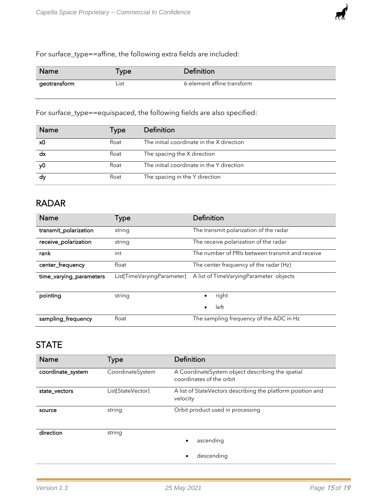For surface\_type==affine, the following extra fields are included:

| <b>Name</b>  | ⊺уре¦ | Definition                 |
|--------------|-------|----------------------------|
| geotransform | ∟ist  | 6-element affine transform |

For surface\_type==equispaced, the following fields are also specified:

| <b>Name</b> | Type  | Definition                                |
|-------------|-------|-------------------------------------------|
| x0          | float | The initial coordinate in the X direction |
| dx          | float | The spacing the X direction               |
| ν0          | float | The initial coordinate in the Y direction |
| dy          | float | The spacing in the Y direction            |

#### RADAR

| <b>Name</b>             | Type                       | Definition                                      |
|-------------------------|----------------------------|-------------------------------------------------|
| transmit_polarization   | string                     | The transmit polarization of the radar          |
| receive_polarization    | string                     | The receive polarization of the radar           |
| rank                    | int                        | The number of PRIs between transmit and receive |
| center_frequency        | float                      | The center frequency of the radar (Hz)          |
| time_varying_parameters | List[TimeVaryingParameter] | A list of TimeVaryingParameter objects          |
| pointing                | string                     | right                                           |
|                         |                            | left<br>٠                                       |
| sampling_frequency      | float                      | The sampling frequency of the ADC in Hz         |

#### **STATE**

| Name              | Type              | Definition                                                                   |
|-------------------|-------------------|------------------------------------------------------------------------------|
| coordinate_system | CoordinateSystem  | A CoordinateSystem object describing the spatial<br>coordinates of the orbit |
| state_vectors     | List[StateVector] | A list of StateVectors describing the platform position and<br>velocity      |
| source            | string            | Orbit product used in processing                                             |
| direction         | string            | ascending                                                                    |
|                   |                   | descending                                                                   |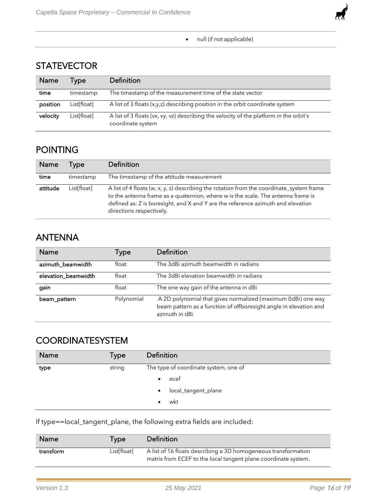

#### **STATEVECTOR**

| <b>Name</b> | Tvpe        | Definition                                                                                                  |
|-------------|-------------|-------------------------------------------------------------------------------------------------------------|
| time        | timestamp   | The timestamp of the measurement time of the state vector                                                   |
| position    | List[float] | A list of 3 floats $(x,y,z)$ describing position in the orbit coordinate system                             |
| velocity    | List[float] | A list of 3 floats (vx, vy, vz) describing the velocity of the platform in the orbit's<br>coordinate system |

#### POINTING

| Name     | Type        | Definition                                                                                                                                                                                                                                                                                  |
|----------|-------------|---------------------------------------------------------------------------------------------------------------------------------------------------------------------------------------------------------------------------------------------------------------------------------------------|
| time     | timestamp   | The timestamp of the attitude measurement                                                                                                                                                                                                                                                   |
| attitude | List[float] | A list of 4 floats (w, x, y, z) describing the rotation from the coordinate_system frame<br>to the antenna frame as a quaternion, where w is the scale. The antenna frame is<br>defined as: Z is boresight, and X and Y are the reference azimuth and elevation<br>directions respectively. |

#### ANTENNA

| Name                | Type       | Definition                                                                                                                                          |
|---------------------|------------|-----------------------------------------------------------------------------------------------------------------------------------------------------|
| azimuth_beamwidth   | float      | The 3dBi azimuth beamwidth in radians                                                                                                               |
| elevation_beamwidth | float      | The 3dBi elevation beamwidth in radians                                                                                                             |
| gain                | float      | The one way gain of the antenna in dBi                                                                                                              |
| beam_pattern        | Polynomial | A 2D polynomial that gives normalized (maximum 0dBi) one way<br>beam pattern as a function of offboresight angle in elevation and<br>azimuth in dBi |

### **COORDINATESYSTEM**

| Name | Type   | Definition                            |
|------|--------|---------------------------------------|
| type | string | The type of coordinate system, one of |
|      |        | ecef<br>$\bullet$                     |
|      |        | local_tangent_plane                   |
|      |        | wkt                                   |

If type==local\_tangent\_plane, the following extra fields are included:

| <b>Name</b> | l ype:      | Definition                                                                                                                       |
|-------------|-------------|----------------------------------------------------------------------------------------------------------------------------------|
| transform   | List[float] | A list of 16 floats describing a 3D homogeneous transformation<br>matrix from ECEF to the local tangent plane coordinate system. |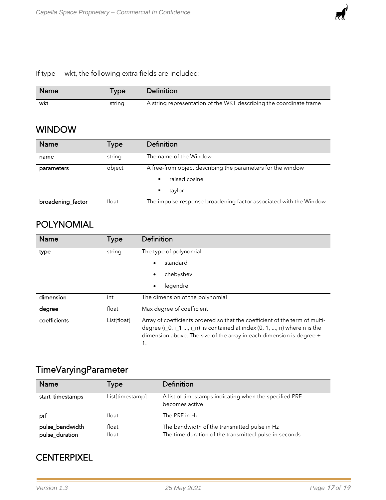

| Name | l ype  | Definition                                                         |
|------|--------|--------------------------------------------------------------------|
| wkt  | string | A string representation of the WKT describing the coordinate frame |

#### WINDOW

| Name              | Type   | Definition                                                        |
|-------------------|--------|-------------------------------------------------------------------|
| name              | string | The name of the Window                                            |
| parameters        | object | A free-from object describing the parameters for the window       |
|                   |        | raised cosine<br>٠                                                |
|                   |        | taylor                                                            |
| broadening_factor | float  | The impulse response broadening factor associated with the Window |

#### POLYNOMIAL

| Name         | Type        | Definition                                                                                                                                                                                                                                 |
|--------------|-------------|--------------------------------------------------------------------------------------------------------------------------------------------------------------------------------------------------------------------------------------------|
| type         | string      | The type of polynomial                                                                                                                                                                                                                     |
|              |             | standard                                                                                                                                                                                                                                   |
|              |             | chebyshev                                                                                                                                                                                                                                  |
|              |             | legendre<br>٠                                                                                                                                                                                                                              |
| dimension    | int         | The dimension of the polynomial                                                                                                                                                                                                            |
| degree       | float       | Max degree of coefficient                                                                                                                                                                                                                  |
| coefficients | List[float] | Array of coefficients ordered so that the coefficient of the term of multi-<br>degree $(i_0, i_1, , i_n)$ is contained at index $(0, 1, , n)$ where n is the<br>dimension above. The size of the array in each dimension is degree +<br>1. |

## TimeVaryingParameter

| <b>Name</b>      | Type            | Definition                                             |
|------------------|-----------------|--------------------------------------------------------|
| start_timestamps | List[timestamp] | A list of timestamps indicating when the specified PRF |
|                  |                 | becomes active                                         |
| prf              | float           | The PRF in Hz                                          |
| pulse_bandwidth  | float           | The bandwidth of the transmitted pulse in Hz           |
| pulse_duration   | float           | The time duration of the transmitted pulse in seconds  |

#### **CENTERPIXEL**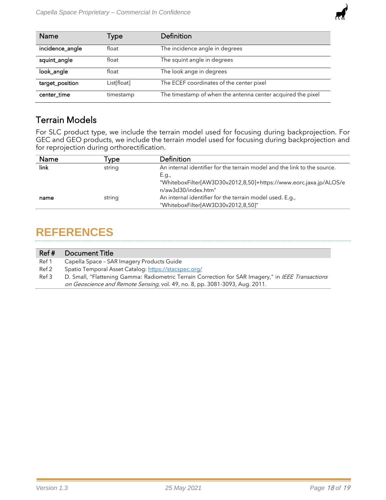

| <b>Name</b>     | Type        | Definition                                                  |
|-----------------|-------------|-------------------------------------------------------------|
| incidence_angle | float       | The incidence angle in degrees                              |
| squint_angle    | float       | The squint angle in degrees                                 |
| look_angle      | float       | The look ange in degrees                                    |
| target_position | List[float] | The ECEF coordinates of the center pixel                    |
| center_time     | timestamp   | The timestamp of when the antenna center acquired the pixel |

#### Terrain Models

For SLC product type, we include the terrain model used for focusing during backprojection. For GEC and GEO products, we include the terrain model used for focusing during backprojection and for reprojection during orthorectification.

| Name | vpe    | <b>Definition</b>                                                                                 |
|------|--------|---------------------------------------------------------------------------------------------------|
| link | string | An internal identifier for the terrain model and the link to the source.                          |
|      |        | E.g.,<br>"WhiteboxFilter[AW3D30v2012,8,50]+https://www.eorc.jaxa.jp/ALOS/e<br>n/aw3d30/index.htm" |
| name | string | An internal identifier for the terrain model used. E.g.,<br>"WhiteboxFilter[AW3D30v2012,8,50]"    |

## <span id="page-17-0"></span>**REFERENCES**

| Ref#  | Document Title                                                                                     |
|-------|----------------------------------------------------------------------------------------------------|
| Ref 1 | Capella Space - SAR Imagery Products Guide                                                         |
| Ref 2 | Spatio Temporal Asset Catalog: https://stacspec.org/                                               |
| Ref 3 | D. Small, "Flattening Gamma: Radiometric Terrain Correction for SAR Imagery," in IEEE Transactions |
|       | on Geoscience and Remote Sensing, vol. 49, no. 8, pp. 3081-3093, Aug. 2011.                        |